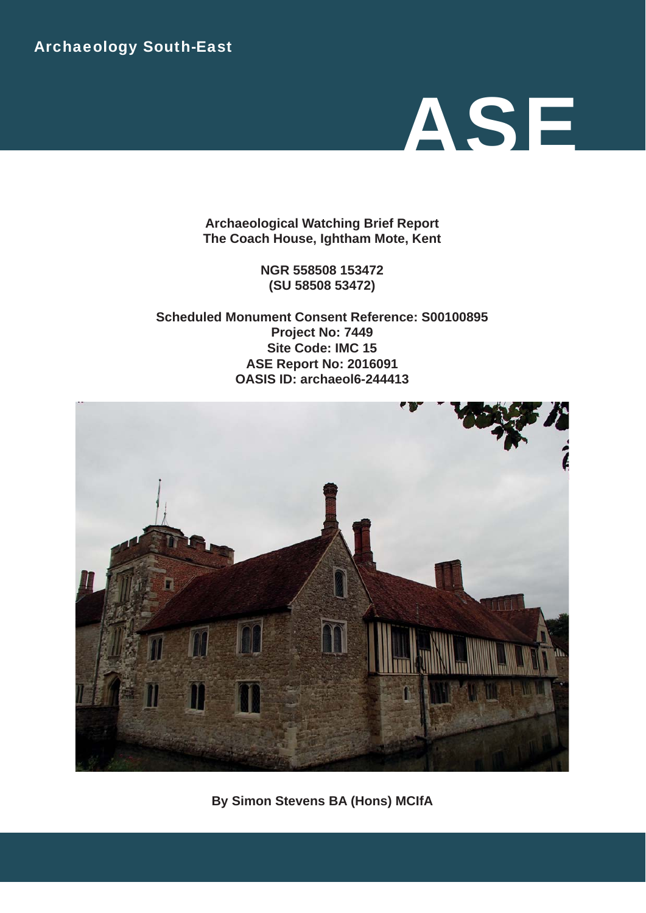Archaeology South-East

# ASE

**Archaeological Watching Brief Report The Coach House, Ightham Mote, Kent**

> **NGR 558508 153472 (SU 58508 53472)**

**Scheduled Monument Consent Reference: S00100895 Project No: 7449 Site Code: IMC 15 ASE Report No: 2016091 OASIS ID: archaeol6-244413**



**By Simon Stevens BA (Hons) MCIfA**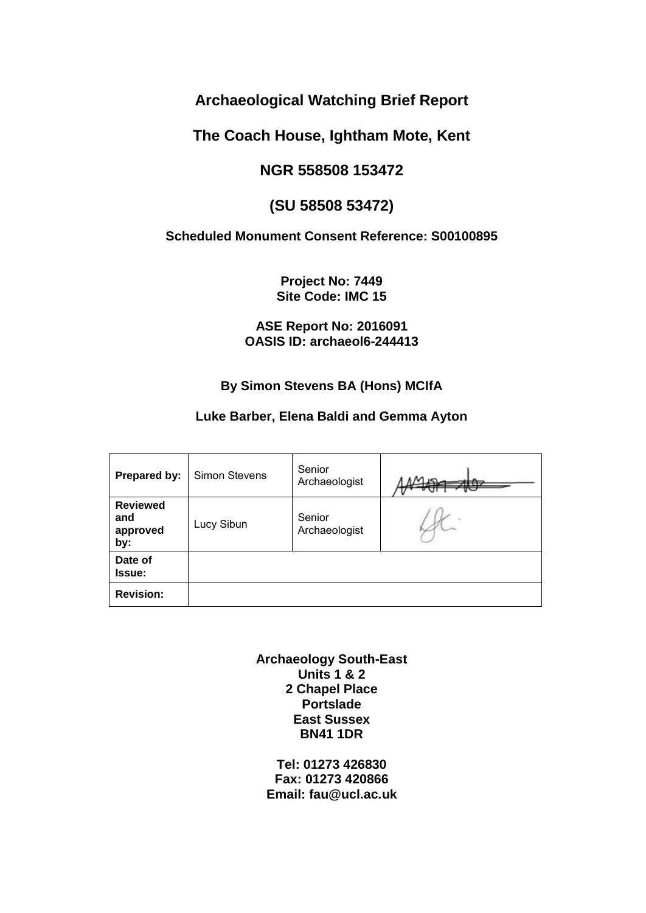# **Archaeological Watching Brief Report**

# **The Coach House, Ightham Mote, Kent**

# **NGR 558508 153472**

# **(SU 58508 53472)**

# **Scheduled Monument Consent Reference: S00100895**

**Project No: 7449 Site Code: IMC 15**

**ASE Report No: 2016091 OASIS ID: archaeol6-244413** 

# **By Simon Stevens BA (Hons) MCIfA**

## **Luke Barber, Elena Baldi and Gemma Ayton**

| Prepared by:                              | <b>Simon Stevens</b> | Senior<br>Archaeologist |  |
|-------------------------------------------|----------------------|-------------------------|--|
| <b>Reviewed</b><br>and<br>approved<br>by: | Lucy Sibun           | Senior<br>Archaeologist |  |
| Date of<br><b>Issue:</b>                  |                      |                         |  |
| <b>Revision:</b>                          |                      |                         |  |

**Archaeology South-East Units 1 & 2 2 Chapel Place Portslade East Sussex BN41 1DR** 

**Tel: 01273 426830 Fax: 01273 420866 Email: fau@ucl.ac***.***uk**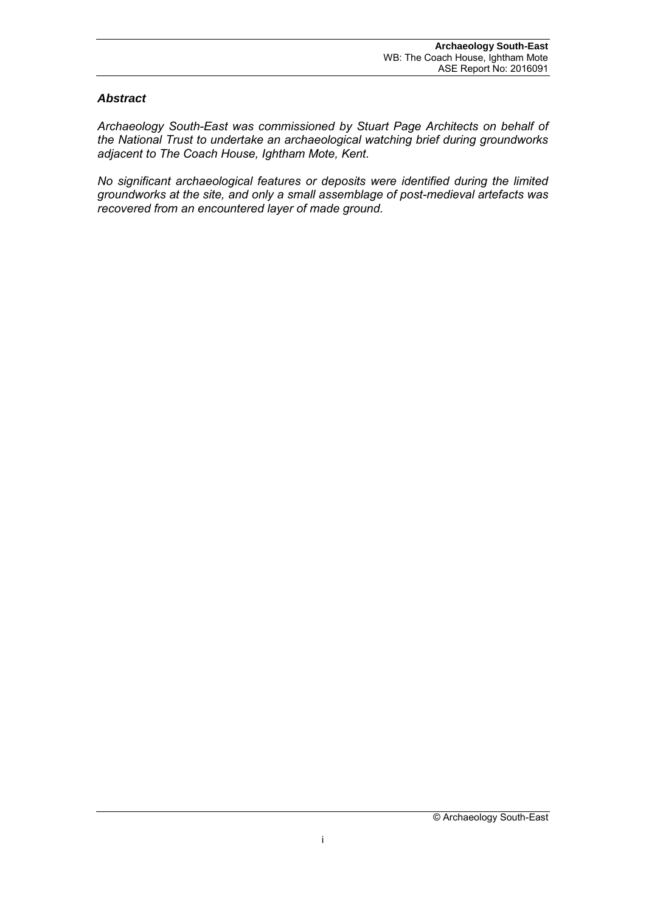#### *Abstract*

*Archaeology South-East was commissioned by Stuart Page Architects on behalf of the National Trust to undertake an archaeological watching brief during groundworks adjacent to The Coach House, Ightham Mote, Kent.* 

*No significant archaeological features or deposits were identified during the limited groundworks at the site, and only a small assemblage of post-medieval artefacts was recovered from an encountered layer of made ground.*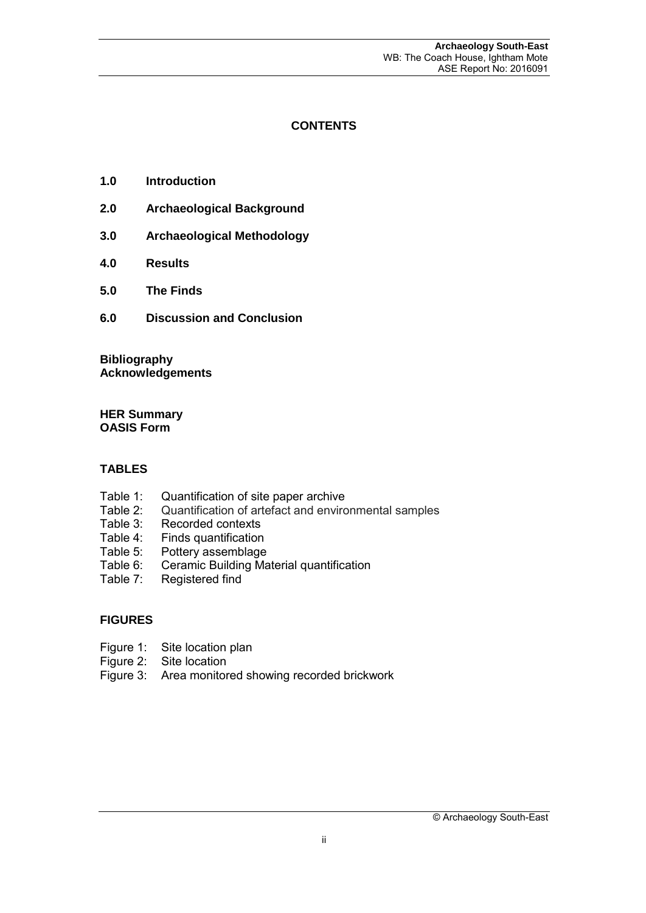## **CONTENTS**

- **1.0 Introduction**
- **2.0 Archaeological Background**
- **3.0 Archaeological Methodology**
- **4.0 Results**
- **5.0 The Finds**
- **6.0 Discussion and Conclusion**

**Bibliography Acknowledgements** 

**HER Summary OASIS Form** 

#### **TABLES**

- Table 1: Quantification of site paper archive<br>Table 2: Quantification of artefact and envirg
- Quantification of artefact and environmental samples
- Table 3: Recorded contexts
- Table 4: Finds quantification<br>Table 5: Pottery assemblage
- Table 5: Pottery assemblage<br>Table 6: Ceramic Building Ma
- Table 6: Ceramic Building Material quantification<br>Table 7: Registered find
- Registered find

#### **FIGURES**

- Figure 1: Site location plan<br>Figure 2: Site location
- Site location
- Figure 3: Area monitored showing recorded brickwork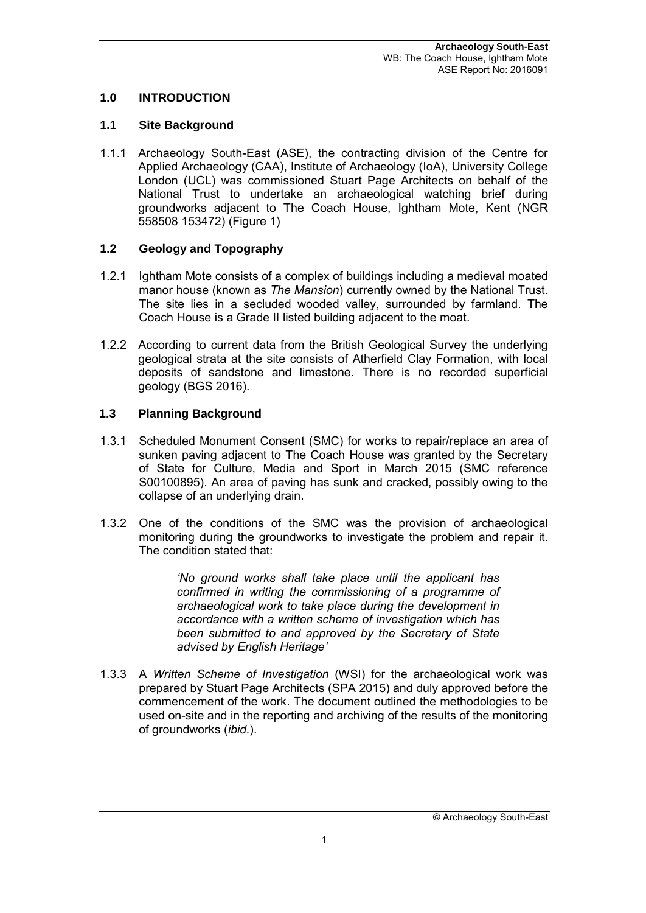## **1.0 INTRODUCTION**

## **1.1 Site Background**

1.1.1 Archaeology South-East (ASE), the contracting division of the Centre for Applied Archaeology (CAA), Institute of Archaeology (IoA), University College London (UCL) was commissioned Stuart Page Architects on behalf of the National Trust to undertake an archaeological watching brief during groundworks adjacent to The Coach House, Ightham Mote, Kent (NGR 558508 153472) (Figure 1)

## **1.2 Geology and Topography**

- 1.2.1 Ightham Mote consists of a complex of buildings including a medieval moated manor house (known as *The Mansion*) currently owned by the National Trust. The site lies in a secluded wooded valley, surrounded by farmland. The Coach House is a Grade II listed building adjacent to the moat.
- 1.2.2 According to current data from the British Geological Survey the underlying geological strata at the site consists of Atherfield Clay Formation, with local deposits of sandstone and limestone. There is no recorded superficial geology (BGS 2016).

## **1.3 Planning Background**

- 1.3.1 Scheduled Monument Consent (SMC) for works to repair/replace an area of sunken paving adjacent to The Coach House was granted by the Secretary of State for Culture, Media and Sport in March 2015 (SMC reference S00100895). An area of paving has sunk and cracked, possibly owing to the collapse of an underlying drain.
- 1.3.2 One of the conditions of the SMC was the provision of archaeological monitoring during the groundworks to investigate the problem and repair it. The condition stated that:

*'No ground works shall take place until the applicant has confirmed in writing the commissioning of a programme of archaeological work to take place during the development in accordance with a written scheme of investigation which has been submitted to and approved by the Secretary of State advised by English Heritage'* 

1.3.3 A *Written Scheme of Investigation* (WSI) for the archaeological work was prepared by Stuart Page Architects (SPA 2015) and duly approved before the commencement of the work. The document outlined the methodologies to be used on-site and in the reporting and archiving of the results of the monitoring of groundworks (*ibid.*).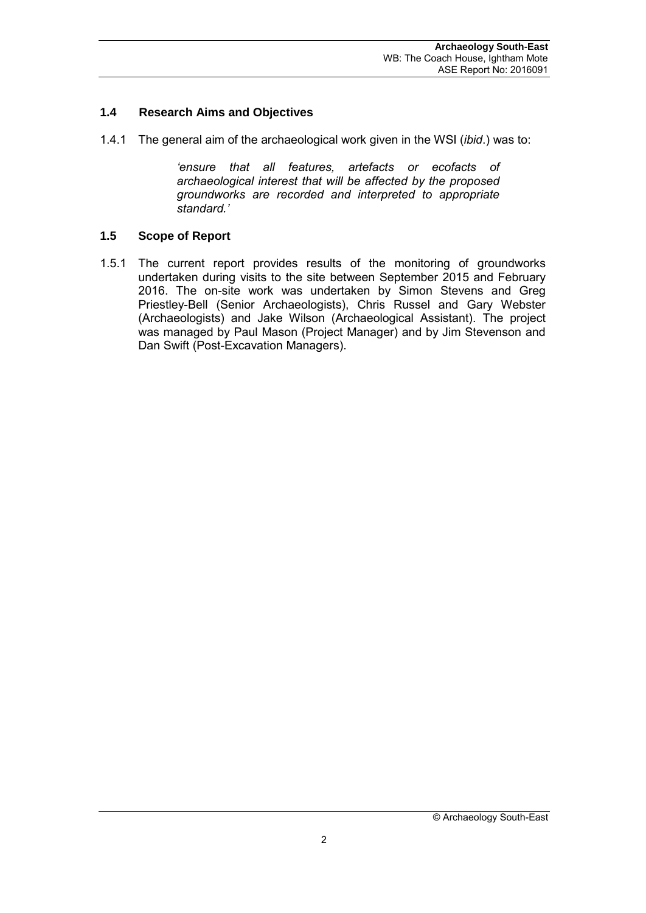## **1.4 Research Aims and Objectives**

1.4.1 The general aim of the archaeological work given in the WSI (*ibid*.) was to:

*'ensure that all features, artefacts or ecofacts of archaeological interest that will be affected by the proposed groundworks are recorded and interpreted to appropriate standard.'* 

#### **1.5 Scope of Report**

1.5.1 The current report provides results of the monitoring of groundworks undertaken during visits to the site between September 2015 and February 2016. The on-site work was undertaken by Simon Stevens and Greg Priestley-Bell (Senior Archaeologists), Chris Russel and Gary Webster (Archaeologists) and Jake Wilson (Archaeological Assistant). The project was managed by Paul Mason (Project Manager) and by Jim Stevenson and Dan Swift (Post-Excavation Managers).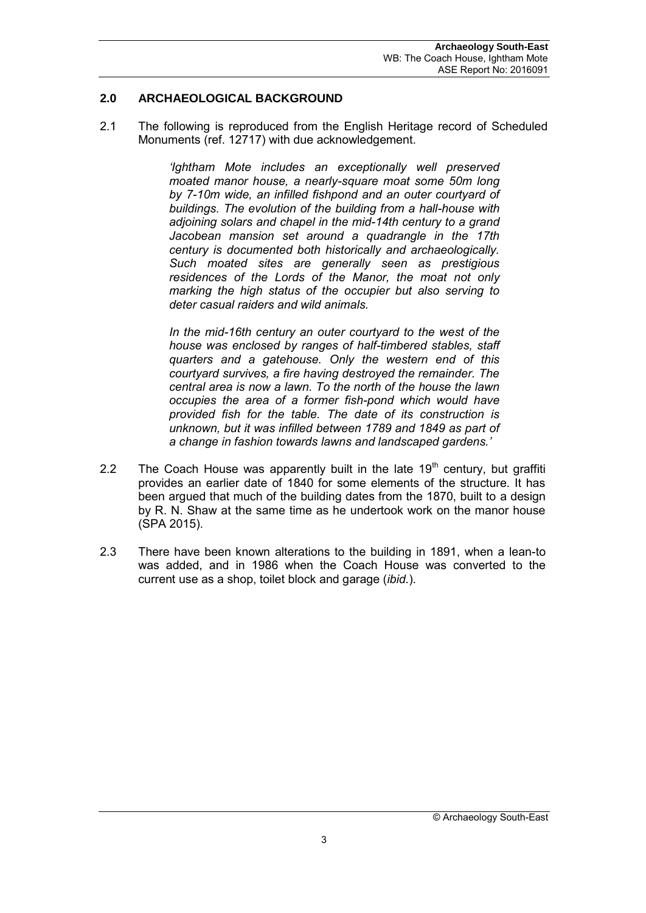## **2.0 ARCHAEOLOGICAL BACKGROUND**

2.1 The following is reproduced from the English Heritage record of Scheduled Monuments (ref. 12717) with due acknowledgement.

> *'Ightham Mote includes an exceptionally well preserved moated manor house, a nearly-square moat some 50m long by 7-10m wide, an infilled fishpond and an outer courtyard of buildings. The evolution of the building from a hall-house with adjoining solars and chapel in the mid-14th century to a grand Jacobean mansion set around a quadrangle in the 17th century is documented both historically and archaeologically. Such moated sites are generally seen as prestigious residences of the Lords of the Manor, the moat not only marking the high status of the occupier but also serving to deter casual raiders and wild animals.*

> *In the mid-16th century an outer courtyard to the west of the house was enclosed by ranges of half-timbered stables, staff quarters and a gatehouse. Only the western end of this courtyard survives, a fire having destroyed the remainder. The central area is now a lawn. To the north of the house the lawn occupies the area of a former fish-pond which would have provided fish for the table. The date of its construction is unknown, but it was infilled between 1789 and 1849 as part of a change in fashion towards lawns and landscaped gardens.'*

- 2.2 The Coach House was apparently built in the late  $19<sup>th</sup>$  century, but graffiti provides an earlier date of 1840 for some elements of the structure. It has been argued that much of the building dates from the 1870, built to a design by R. N. Shaw at the same time as he undertook work on the manor house (SPA 2015).
- 2.3 There have been known alterations to the building in 1891, when a lean-to was added, and in 1986 when the Coach House was converted to the current use as a shop, toilet block and garage (*ibid.*).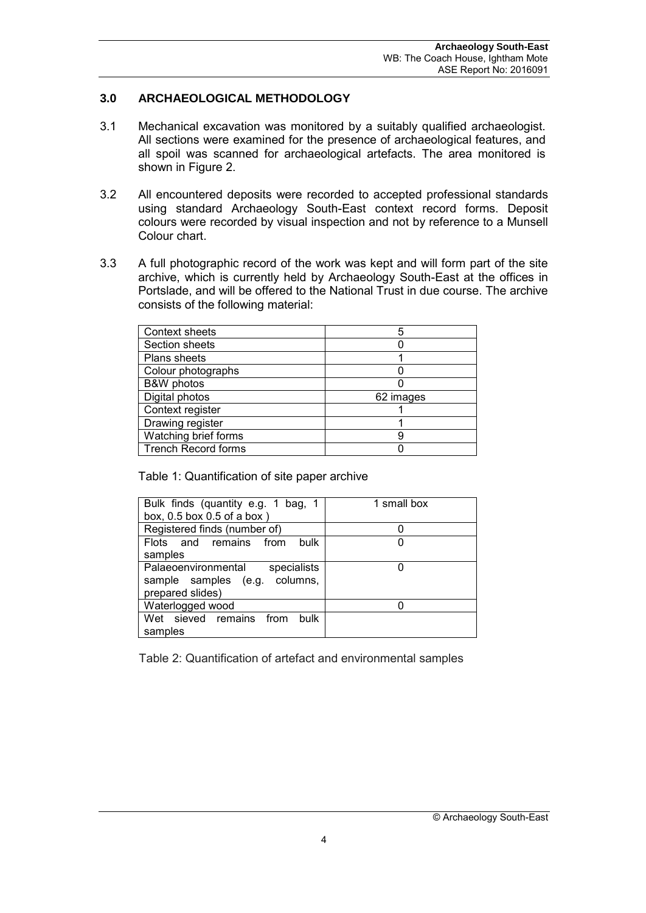## **3.0 ARCHAEOLOGICAL METHODOLOGY**

- 3.1 Mechanical excavation was monitored by a suitably qualified archaeologist. All sections were examined for the presence of archaeological features, and all spoil was scanned for archaeological artefacts. The area monitored is shown in Figure 2.
- 3.2 All encountered deposits were recorded to accepted professional standards using standard Archaeology South-East context record forms. Deposit colours were recorded by visual inspection and not by reference to a Munsell Colour chart.
- 3.3 A full photographic record of the work was kept and will form part of the site archive, which is currently held by Archaeology South-East at the offices in Portslade, and will be offered to the National Trust in due course. The archive consists of the following material:

| Context sheets             | 5         |
|----------------------------|-----------|
| Section sheets             |           |
| Plans sheets               |           |
| Colour photographs         |           |
| <b>B&amp;W</b> photos      |           |
| Digital photos             | 62 images |
| Context register           |           |
| Drawing register           |           |
| Watching brief forms       | 9         |
| <b>Trench Record forms</b> |           |

Table 1: Quantification of site paper archive

| Bulk finds (quantity e.g. 1 bag, 1 | 1 small box |
|------------------------------------|-------------|
| box, $0.5$ box $0.5$ of a box)     |             |
| Registered finds (number of)       |             |
| Flots and remains from<br>bulk     |             |
| samples                            |             |
| Palaeoenvironmental<br>specialists | n           |
| sample samples (e.g. columns,      |             |
| prepared slides)                   |             |
| Waterlogged wood                   |             |
| Wet sieved remains from<br>bulk    |             |
| samples                            |             |

Table 2: Quantification of artefact and environmental samples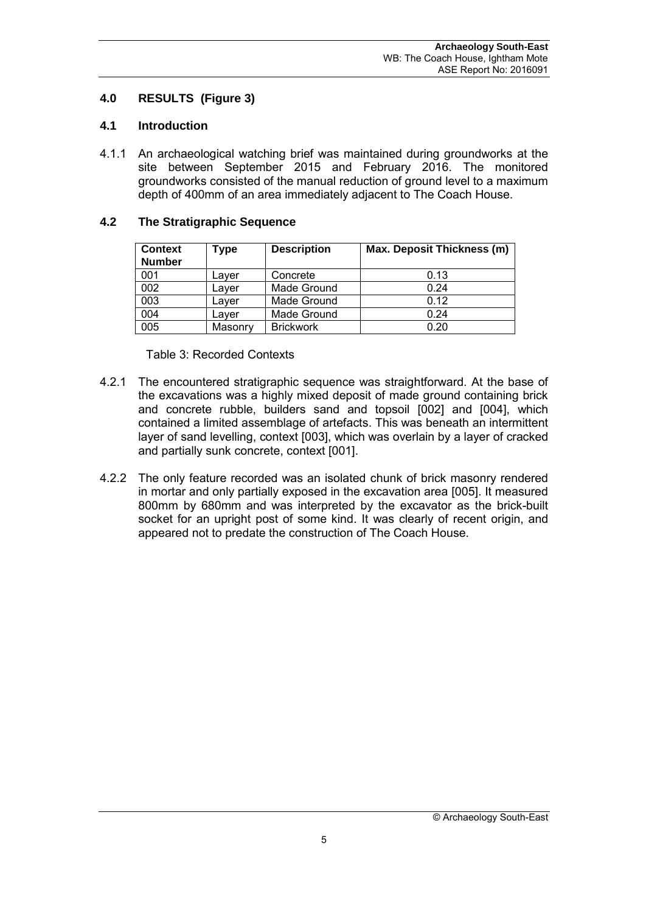## **4.0 RESULTS (Figure 3)**

## **4.1 Introduction**

4.1.1 An archaeological watching brief was maintained during groundworks at the site between September 2015 and February 2016. The monitored groundworks consisted of the manual reduction of ground level to a maximum depth of 400mm of an area immediately adjacent to The Coach House.

## **4.2 The Stratigraphic Sequence**

| Context<br><b>Number</b> | Type    | <b>Description</b> | Max. Deposit Thickness (m) |
|--------------------------|---------|--------------------|----------------------------|
| 001                      | Laver   | Concrete           | 0.13                       |
| 002                      | Laver   | Made Ground        | 0.24                       |
| 003                      | Laver   | Made Ground        | 0.12                       |
| 004                      | Laver   | Made Ground        | 0.24                       |
| 005                      | Masonry | <b>Brickwork</b>   | 0.20                       |

Table 3: Recorded Contexts

- 4.2.1 The encountered stratigraphic sequence was straightforward. At the base of the excavations was a highly mixed deposit of made ground containing brick and concrete rubble, builders sand and topsoil [002] and [004], which contained a limited assemblage of artefacts. This was beneath an intermittent layer of sand levelling, context [003], which was overlain by a layer of cracked and partially sunk concrete, context [001].
- 4.2.2 The only feature recorded was an isolated chunk of brick masonry rendered in mortar and only partially exposed in the excavation area [005]. It measured 800mm by 680mm and was interpreted by the excavator as the brick-built socket for an upright post of some kind. It was clearly of recent origin, and appeared not to predate the construction of The Coach House.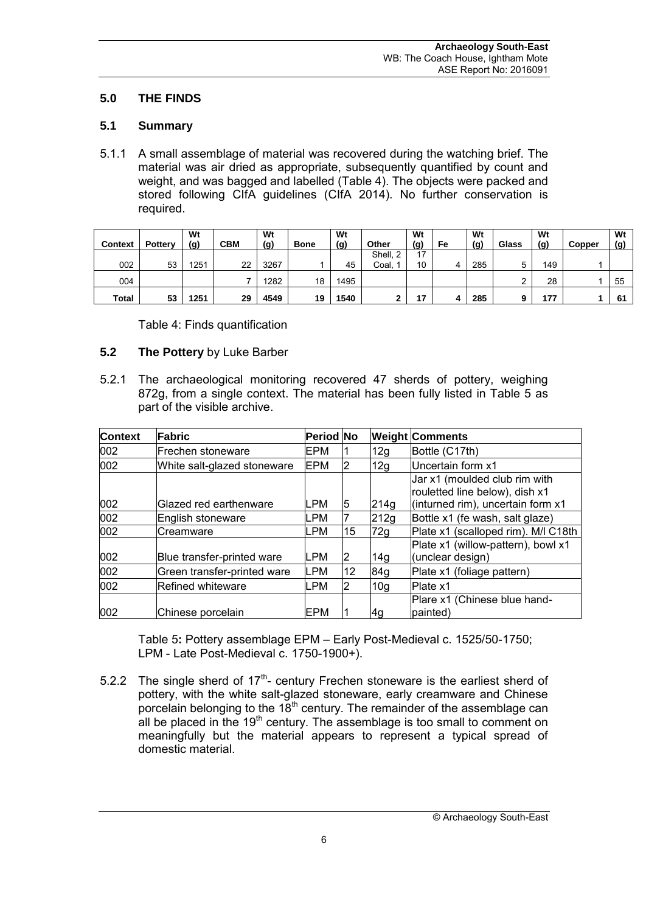## **5.0 THE FINDS**

## **5.1 Summary**

5.1.1 A small assemblage of material was recovered during the watching brief. The material was air dried as appropriate, subsequently quantified by count and weight, and was bagged and labelled (Table 4). The objects were packed and stored following CIfA guidelines (CIfA 2014). No further conservation is required.

|                |         | Wt   |            | Wt   |             | Wt   |               | Wt  |    | Wt         |       | Wt  |        | Wt  |
|----------------|---------|------|------------|------|-------------|------|---------------|-----|----|------------|-------|-----|--------|-----|
| <b>Context</b> | Pottery | (g)  | <b>CBM</b> | (g)  | <b>Bone</b> | (g)  | Other         | (g) | Fe | <u>(g)</u> | Glass | (g) | Copper | (g) |
|                |         |      |            |      |             |      | Shell, 2<br>ົ | 47  |    |            |       |     |        |     |
| 002            | 53      | 1251 | 22         | 3267 |             | 45   | Coal,         | 10  |    | 285        |       | 149 |        |     |
| 004            |         |      |            | 1282 | 18          | 1495 |               |     |    |            | ⌒     | 28  |        | 55  |
| <b>Total</b>   | 53      | 1251 | 29         | 4549 | 19          | 1540 |               | 47  |    | 285        |       | 177 |        | 61  |

Table 4: Finds quantification

## **5.2 The Pottery** by Luke Barber

5.2.1 The archaeological monitoring recovered 47 sherds of pottery, weighing 872g, from a single context. The material has been fully listed in Table 5 as part of the visible archive.

| <b>Context</b> | <b>Fabric</b>               | Period No |                |                 | <b>Weight Comments</b>                                                                               |
|----------------|-----------------------------|-----------|----------------|-----------------|------------------------------------------------------------------------------------------------------|
| 002            | lFrechen stoneware          | EPM       |                | 12g             | Bottle (C17th)                                                                                       |
| 002            | White salt-glazed stoneware | EPM       | 2              | 12g             | Uncertain form x1                                                                                    |
| 002            | Glazed red earthenware      | LPM       | 5              | 214g            | Jar x1 (moulded club rim with<br>rouletted line below), dish x1<br>(inturned rim), uncertain form x1 |
| 002            | English stoneware           | LPM       |                | 212g            | Bottle x1 (fe wash, salt glaze)                                                                      |
| 002            | lCreamware                  | LPM       | 15             | 72g             | Plate x1 (scalloped rim). M/l C18th                                                                  |
| 002            | Blue transfer-printed ware  | LPM       | $\mathsf{I}2$  | 14g             | Plate x1 (willow-pattern), bowl x1<br>(unclear design)                                               |
| 002            | Green transfer-printed ware | LPM       | 12             | 84g             | Plate x1 (foliage pattern)                                                                           |
| 002            | Refined whiteware           | LPM       | $\overline{2}$ | 10 <sub>g</sub> | Plate x1                                                                                             |
| 002            | Chinese porcelain           | EPM       |                | 4q              | Plare x1 (Chinese blue hand-<br>(painted)                                                            |

Table 5**:** Pottery assemblage EPM – Early Post-Medieval c. 1525/50-1750; LPM - Late Post-Medieval c. 1750-1900+).

5.2.2 The single sherd of  $17<sup>th</sup>$ - century Frechen stoneware is the earliest sherd of pottery, with the white salt-glazed stoneware, early creamware and Chinese porcelain belonging to the  $18<sup>th</sup>$  century. The remainder of the assemblage can all be placed in the  $19<sup>th</sup>$  century. The assemblage is too small to comment on meaningfully but the material appears to represent a typical spread of domestic material.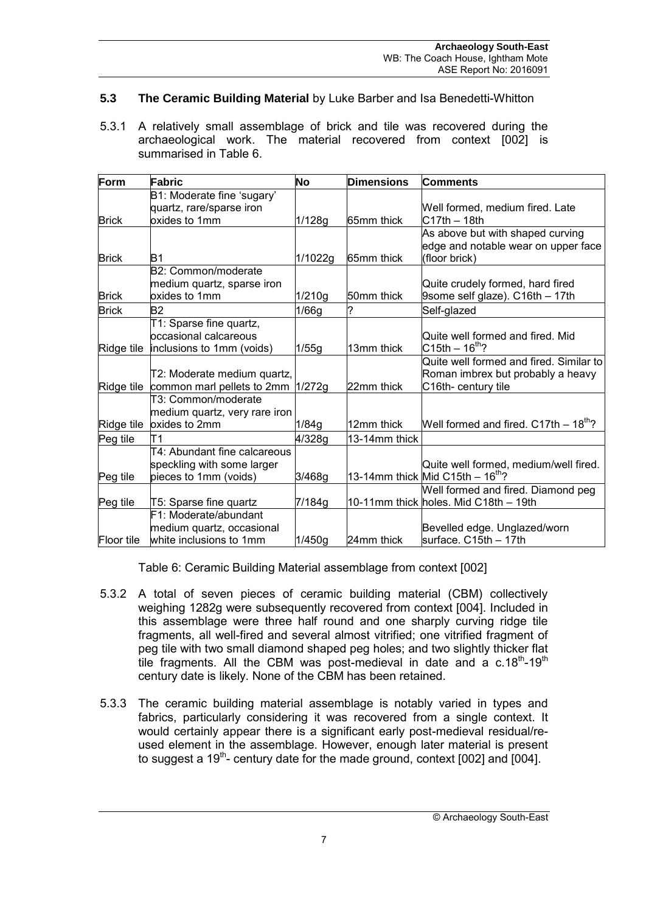## **5.3 The Ceramic Building Material** by Luke Barber and Isa Benedetti-Whitton

5.3.1 A relatively small assemblage of brick and tile was recovered during the archaeological work. The material recovered from context [002] is summarised in Table 6.

| Form         | <b>Fabric</b>                     | <b>No</b> | <b>Dimensions</b> | <b>Comments</b>                            |
|--------------|-----------------------------------|-----------|-------------------|--------------------------------------------|
|              | B1: Moderate fine 'sugary'        |           |                   |                                            |
|              | quartz, rare/sparse iron          |           |                   | Well formed, medium fired. Late            |
| <b>Brick</b> | oxides to 1mm                     | 1/128g    | 65mm thick        | $C17th - 18th$                             |
|              |                                   |           |                   | As above but with shaped curving           |
|              |                                   |           |                   | edge and notable wear on upper face        |
| <b>Brick</b> | B1                                | 1/1022g   | 65mm thick        | (floor brick)                              |
|              | B2: Common/moderate               |           |                   |                                            |
|              | medium quartz, sparse iron        |           |                   | Quite crudely formed, hard fired           |
| <b>Brick</b> | oxides to 1mm                     | 1/210g    | 50mm thick        | 9some self glaze). C16th - 17th            |
| <b>Brick</b> | B <sub>2</sub>                    | 1/66g     |                   | Self-glazed                                |
|              | T1: Sparse fine quartz,           |           |                   |                                            |
|              | occasional calcareous             |           |                   | Quite well formed and fired. Mid           |
| Ridge tile   | inclusions to 1mm (voids)         | 1/55g     | 13mm thick        | $C15th - 16^{th}$ ?                        |
|              |                                   |           |                   | Quite well formed and fired. Similar to    |
|              | T2: Moderate medium quartz,       |           |                   | Roman imbrex but probably a heavy          |
| Ridge tile   | common marl pellets to 2mm 1/272g |           | 22mm thick        | C16th- century tile                        |
|              | T3: Common/moderate               |           |                   |                                            |
|              | medium quartz, very rare iron     |           |                   |                                            |
| Ridge tile   | oxides to 2mm                     | 1/84g     | 12mm thick        | Well formed and fired. $C17th - 18^{th}$ ? |
| Peg tile     | Т1                                | 4/328g    | 13-14mm thick     |                                            |
|              | T4: Abundant fine calcareous      |           |                   |                                            |
|              | speckling with some larger        |           |                   | Quite well formed, medium/well fired.      |
| Peg tile     | pieces to 1mm (voids)             | 3/468g    |                   | 13-14mm thick Mid C15th - $16^{th}$ ?      |
|              |                                   |           |                   | Well formed and fired. Diamond peg         |
| Peg tile     | T5: Sparse fine quartz            | 7/184g    |                   | 10-11mm thick holes. Mid C18th - 19th      |
|              | F1: Moderate/abundant             |           |                   |                                            |
|              | medium quartz, occasional         |           |                   | Bevelled edge. Unglazed/worn               |
| Floor tile   | white inclusions to 1mm           | 1/450q    | 24mm thick        | surface. C15th - 17th                      |

Table 6: Ceramic Building Material assemblage from context [002]

- 5.3.2 A total of seven pieces of ceramic building material (CBM) collectively weighing 1282g were subsequently recovered from context [004]. Included in this assemblage were three half round and one sharply curving ridge tile fragments, all well-fired and several almost vitrified; one vitrified fragment of peg tile with two small diamond shaped peg holes; and two slightly thicker flat tile fragments. All the CBM was post-medieval in date and a c.18<sup>th</sup>-19<sup>th</sup> century date is likely. None of the CBM has been retained.
- 5.3.3 The ceramic building material assemblage is notably varied in types and fabrics, particularly considering it was recovered from a single context. It would certainly appear there is a significant early post-medieval residual/reused element in the assemblage. However, enough later material is present to suggest a  $19<sup>th</sup>$ - century date for the made ground, context [002] and [004].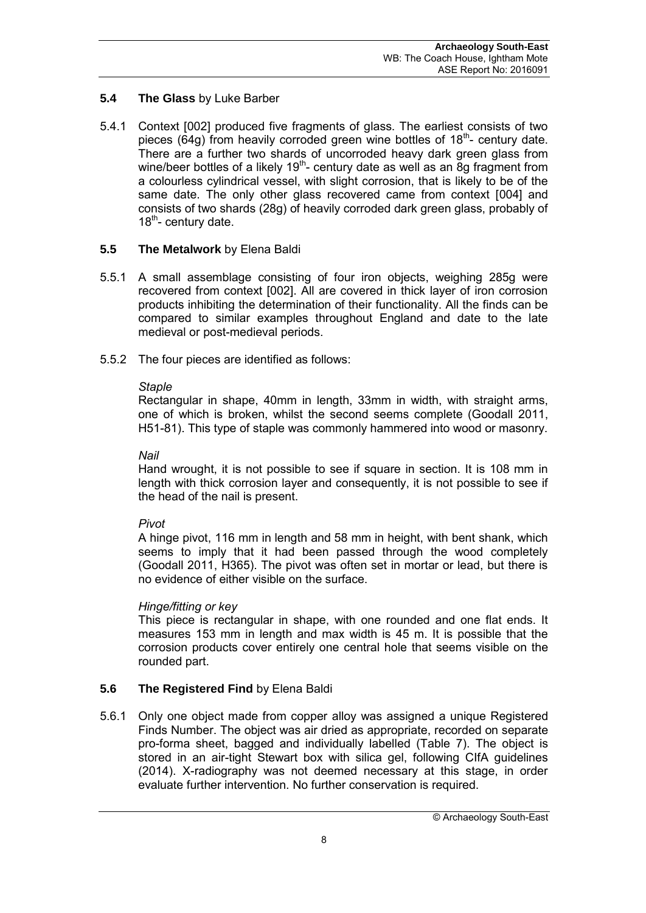## **5.4 The Glass** by Luke Barber

5.4.1 Context [002] produced five fragments of glass. The earliest consists of two pieces (64g) from heavily corroded green wine bottles of  $18<sup>th</sup>$ - century date. There are a further two shards of uncorroded heavy dark green glass from wine/beer bottles of a likely  $19<sup>th</sup>$ - century date as well as an 8g fragment from a colourless cylindrical vessel, with slight corrosion, that is likely to be of the same date. The only other glass recovered came from context [004] and consists of two shards (28g) of heavily corroded dark green glass, probably of  $18<sup>th</sup>$ - century date.

#### **5.5 The Metalwork** by Elena Baldi

- 5.5.1 A small assemblage consisting of four iron objects, weighing 285g were recovered from context [002]. All are covered in thick layer of iron corrosion products inhibiting the determination of their functionality. All the finds can be compared to similar examples throughout England and date to the late medieval or post-medieval periods.
- 5.5.2 The four pieces are identified as follows:

## *Staple*

Rectangular in shape, 40mm in length, 33mm in width, with straight arms, one of which is broken, whilst the second seems complete (Goodall 2011, H51-81). This type of staple was commonly hammered into wood or masonry.

#### *Nail*

Hand wrought, it is not possible to see if square in section. It is 108 mm in length with thick corrosion layer and consequently, it is not possible to see if the head of the nail is present.

#### *Pivot*

A hinge pivot, 116 mm in length and 58 mm in height, with bent shank, which seems to imply that it had been passed through the wood completely (Goodall 2011, H365). The pivot was often set in mortar or lead, but there is no evidence of either visible on the surface.

#### *Hinge/fitting or key*

This piece is rectangular in shape, with one rounded and one flat ends. It measures 153 mm in length and max width is 45 m. It is possible that the corrosion products cover entirely one central hole that seems visible on the rounded part.

## **5.6 The Registered Find** by Elena Baldi

5.6.1 Only one object made from copper alloy was assigned a unique Registered Finds Number. The object was air dried as appropriate, recorded on separate pro-forma sheet, bagged and individually labelled (Table 7). The object is stored in an air-tight Stewart box with silica gel, following CIfA guidelines (2014). X-radiography was not deemed necessary at this stage, in order evaluate further intervention. No further conservation is required.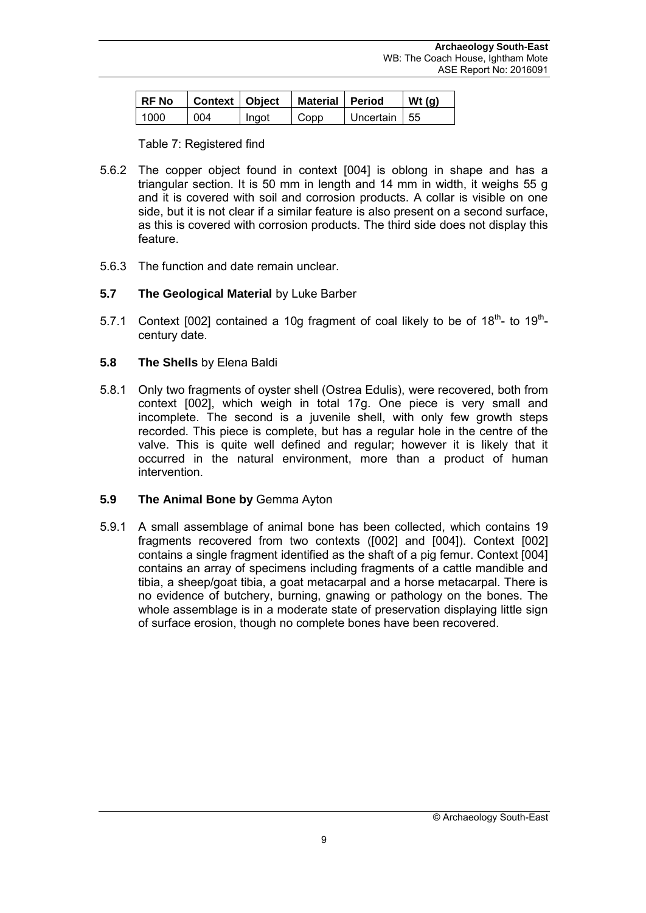| <b>RF No</b> | Context   Object |       | Material Period |              | Wt $(a)$ |
|--------------|------------------|-------|-----------------|--------------|----------|
| 1000         | 004              | Ingot | Copp            | Uncertain 55 |          |

Table 7: Registered find

- 5.6.2 The copper object found in context [004] is oblong in shape and has a triangular section. It is 50 mm in length and 14 mm in width, it weighs 55 g and it is covered with soil and corrosion products. A collar is visible on one side, but it is not clear if a similar feature is also present on a second surface, as this is covered with corrosion products. The third side does not display this feature.
- 5.6.3 The function and date remain unclear.

## **5.7 The Geological Material** by Luke Barber

- 5.7.1 Context [002] contained a 10g fragment of coal likely to be of  $18<sup>th</sup>$  to  $19<sup>th</sup>$ century date.
- **5.8 The Shells** by Elena Baldi
- 5.8.1 Only two fragments of oyster shell (Ostrea Edulis), were recovered, both from context [002], which weigh in total 17g. One piece is very small and incomplete. The second is a juvenile shell, with only few growth steps recorded. This piece is complete, but has a regular hole in the centre of the valve. This is quite well defined and regular; however it is likely that it occurred in the natural environment, more than a product of human intervention.

#### **5.9 The Animal Bone by** Gemma Ayton

5.9.1 A small assemblage of animal bone has been collected, which contains 19 fragments recovered from two contexts ([002] and [004]). Context [002] contains a single fragment identified as the shaft of a pig femur. Context [004] contains an array of specimens including fragments of a cattle mandible and tibia, a sheep/goat tibia, a goat metacarpal and a horse metacarpal. There is no evidence of butchery, burning, gnawing or pathology on the bones. The whole assemblage is in a moderate state of preservation displaying little sign of surface erosion, though no complete bones have been recovered.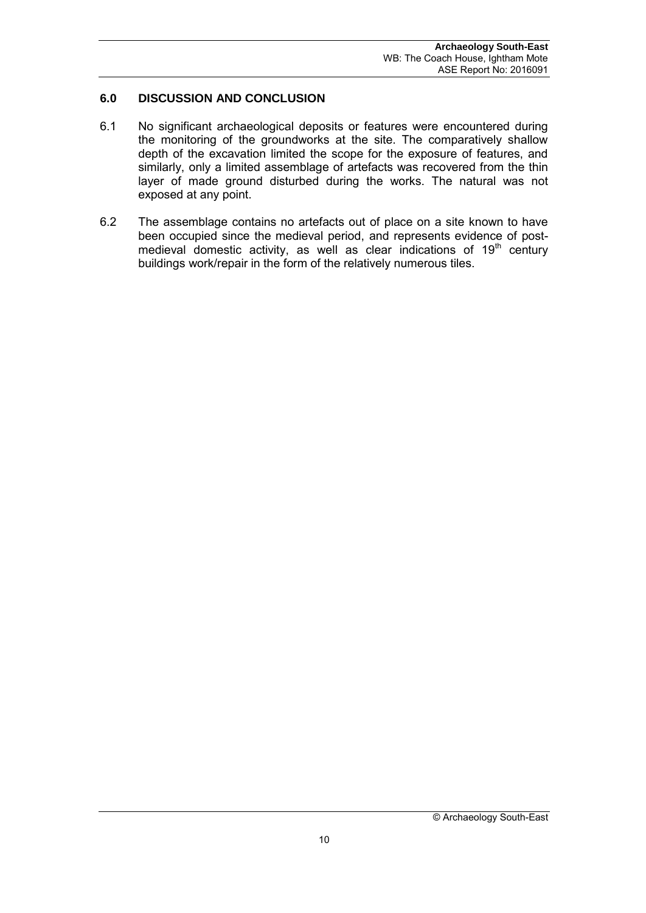## **6.0 DISCUSSION AND CONCLUSION**

- 6.1 No significant archaeological deposits or features were encountered during the monitoring of the groundworks at the site. The comparatively shallow depth of the excavation limited the scope for the exposure of features, and similarly, only a limited assemblage of artefacts was recovered from the thin layer of made ground disturbed during the works. The natural was not exposed at any point.
- 6.2 The assemblage contains no artefacts out of place on a site known to have been occupied since the medieval period, and represents evidence of postmedieval domestic activity, as well as clear indications of  $19<sup>th</sup>$  century buildings work/repair in the form of the relatively numerous tiles.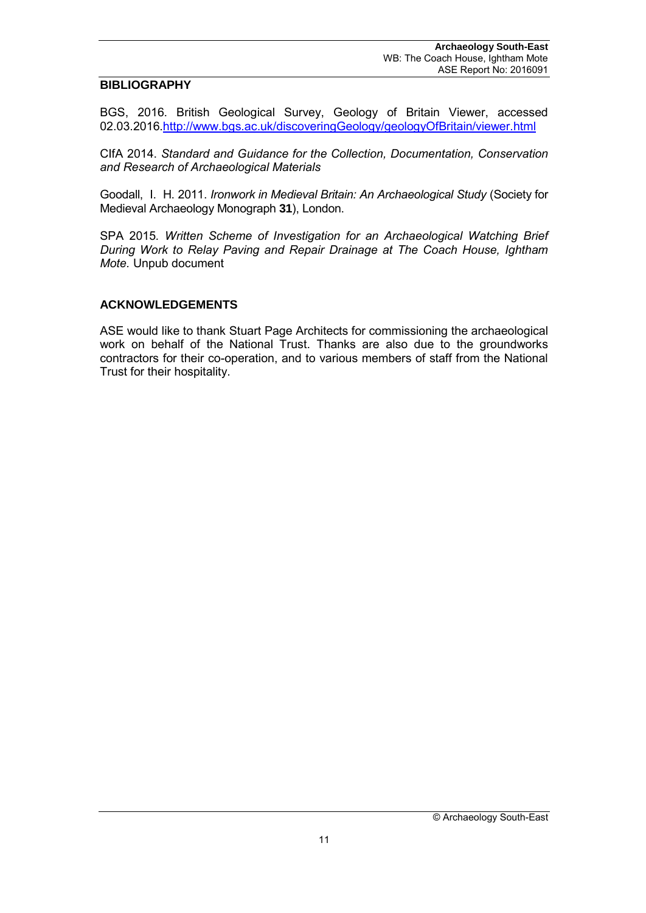#### **BIBLIOGRAPHY**

BGS, 2016. British Geological Survey, Geology of Britain Viewer, accessed 02.03.2016[.http://www.bgs.ac.uk/discoveringGeology/geologyOfBritain/viewer.html](http://www.bgs.ac.uk/discoveringGeology/geologyOfBritain/viewer.html)

CIfA 2014. *Standard and Guidance for the Collection, Documentation, Conservation and Research of Archaeological Materials*

Goodall, I. H. 2011. *Ironwork in Medieval Britain: An Archaeological Study* (Society for Medieval Archaeology Monograph **31**), London.

SPA 2015*. Written Scheme of Investigation for an Archaeological Watching Brief During Work to Relay Paving and Repair Drainage at The Coach House, Ightham Mote.* Unpub document

#### **ACKNOWLEDGEMENTS**

ASE would like to thank Stuart Page Architects for commissioning the archaeological work on behalf of the National Trust. Thanks are also due to the groundworks contractors for their co-operation, and to various members of staff from the National Trust for their hospitality.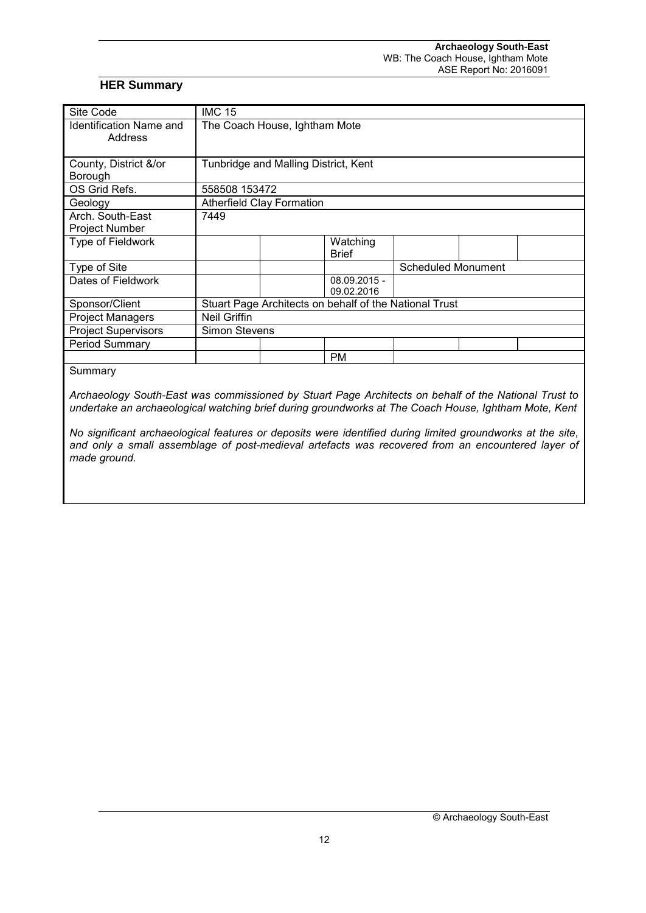#### **HER Summary**

| Site Code                                 | <b>IMC 15</b>        |                                                        |                           |  |  |  |  |
|-------------------------------------------|----------------------|--------------------------------------------------------|---------------------------|--|--|--|--|
| Identification Name and<br>Address        |                      | The Coach House, Ightham Mote                          |                           |  |  |  |  |
| County, District &/or<br>Borough          |                      | Tunbridge and Malling District, Kent                   |                           |  |  |  |  |
| OS Grid Refs.                             | 558508 153472        |                                                        |                           |  |  |  |  |
| Geology                                   |                      | <b>Atherfield Clay Formation</b>                       |                           |  |  |  |  |
| Arch. South-East<br><b>Project Number</b> | 7449                 |                                                        |                           |  |  |  |  |
| Type of Fieldwork                         |                      | Watching<br><b>Brief</b>                               |                           |  |  |  |  |
| Type of Site                              |                      |                                                        | <b>Scheduled Monument</b> |  |  |  |  |
| Dates of Fieldwork                        |                      | 08.09.2015 -<br>09.02.2016                             |                           |  |  |  |  |
| Sponsor/Client                            |                      | Stuart Page Architects on behalf of the National Trust |                           |  |  |  |  |
| <b>Project Managers</b>                   | <b>Neil Griffin</b>  |                                                        |                           |  |  |  |  |
| <b>Project Supervisors</b>                | <b>Simon Stevens</b> |                                                        |                           |  |  |  |  |
| Period Summary                            |                      |                                                        |                           |  |  |  |  |
|                                           |                      | <b>PM</b>                                              |                           |  |  |  |  |
| Summary                                   |                      |                                                        |                           |  |  |  |  |

*Archaeology South-East was commissioned by Stuart Page Architects on behalf of the National Trust to undertake an archaeological watching brief during groundworks at The Coach House, Ightham Mote, Kent*

*No significant archaeological features or deposits were identified during limited groundworks at the site, and only a small assemblage of post-medieval artefacts was recovered from an encountered layer of made ground.*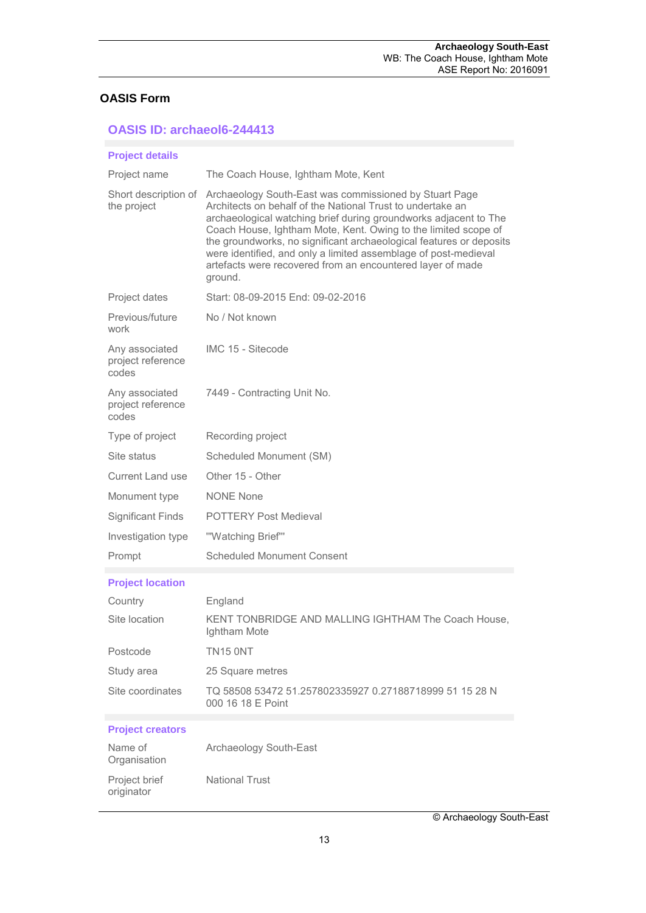#### **OASIS Form**

#### **OASIS ID: archaeol6-244413**

| <b>Project details</b>                       |                                                                                                                                                                                                                                                                                                                                                                                                                                                                               |
|----------------------------------------------|-------------------------------------------------------------------------------------------------------------------------------------------------------------------------------------------------------------------------------------------------------------------------------------------------------------------------------------------------------------------------------------------------------------------------------------------------------------------------------|
| Project name                                 | The Coach House, Ightham Mote, Kent                                                                                                                                                                                                                                                                                                                                                                                                                                           |
| Short description of<br>the project          | Archaeology South-East was commissioned by Stuart Page<br>Architects on behalf of the National Trust to undertake an<br>archaeological watching brief during groundworks adjacent to The<br>Coach House, Ightham Mote, Kent. Owing to the limited scope of<br>the groundworks, no significant archaeological features or deposits<br>were identified, and only a limited assemblage of post-medieval<br>artefacts were recovered from an encountered layer of made<br>ground. |
| Project dates                                | Start: 08-09-2015 End: 09-02-2016                                                                                                                                                                                                                                                                                                                                                                                                                                             |
| Previous/future<br>work                      | No / Not known                                                                                                                                                                                                                                                                                                                                                                                                                                                                |
| Any associated<br>project reference<br>codes | IMC 15 - Sitecode                                                                                                                                                                                                                                                                                                                                                                                                                                                             |
| Any associated<br>project reference<br>codes | 7449 - Contracting Unit No.                                                                                                                                                                                                                                                                                                                                                                                                                                                   |
| Type of project                              | Recording project                                                                                                                                                                                                                                                                                                                                                                                                                                                             |
| Site status                                  | Scheduled Monument (SM)                                                                                                                                                                                                                                                                                                                                                                                                                                                       |
| <b>Current Land use</b>                      | Other 15 - Other                                                                                                                                                                                                                                                                                                                                                                                                                                                              |
| Monument type                                | <b>NONE None</b>                                                                                                                                                                                                                                                                                                                                                                                                                                                              |
| <b>Significant Finds</b>                     | <b>POTTERY Post Medieval</b>                                                                                                                                                                                                                                                                                                                                                                                                                                                  |
| Investigation type                           | "'Watching Brief"'                                                                                                                                                                                                                                                                                                                                                                                                                                                            |
| Prompt                                       | <b>Scheduled Monument Consent</b>                                                                                                                                                                                                                                                                                                                                                                                                                                             |
| <b>Project location</b>                      |                                                                                                                                                                                                                                                                                                                                                                                                                                                                               |
| Country                                      | England                                                                                                                                                                                                                                                                                                                                                                                                                                                                       |
| Site location                                | KENT TONBRIDGE AND MALLING IGHTHAM The Coach House,<br>Ightham Mote                                                                                                                                                                                                                                                                                                                                                                                                           |
| Postcode                                     | <b>TN15 0NT</b>                                                                                                                                                                                                                                                                                                                                                                                                                                                               |
| Study area                                   | 25 Square metres                                                                                                                                                                                                                                                                                                                                                                                                                                                              |
| Site coordinates                             | TQ 58508 53472 51.257802335927 0.27188718999 51 15 28 N<br>000 16 18 E Point                                                                                                                                                                                                                                                                                                                                                                                                  |
| <b>Project creators</b>                      |                                                                                                                                                                                                                                                                                                                                                                                                                                                                               |
| Name of<br>Organisation                      | Archaeology South-East                                                                                                                                                                                                                                                                                                                                                                                                                                                        |
| Project brief<br>originator                  | <b>National Trust</b>                                                                                                                                                                                                                                                                                                                                                                                                                                                         |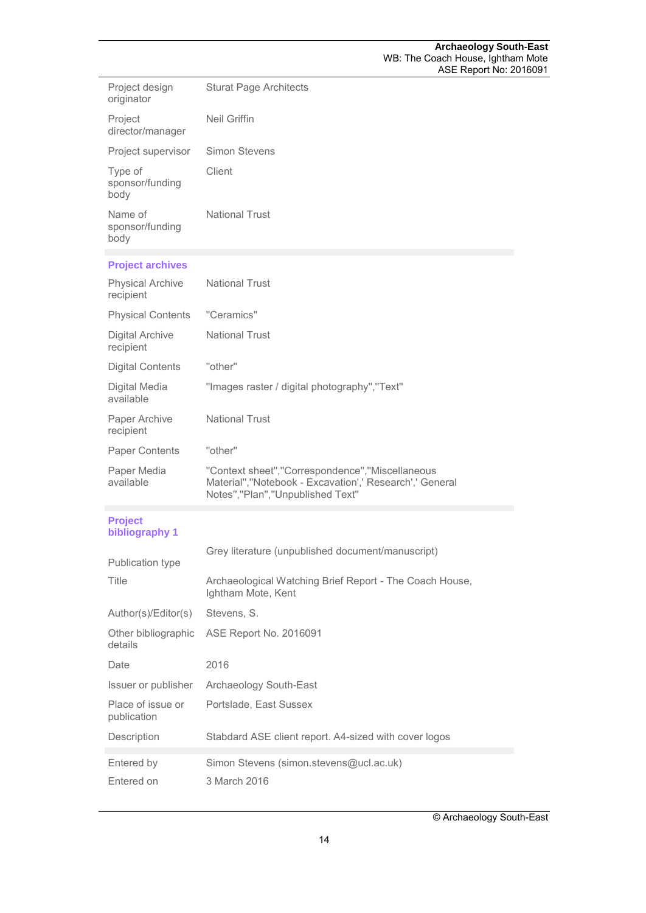| Project design<br>originator         | <b>Sturat Page Architects</b>                                                                                                                     |
|--------------------------------------|---------------------------------------------------------------------------------------------------------------------------------------------------|
| Project<br>director/manager          | <b>Neil Griffin</b>                                                                                                                               |
| Project supervisor                   | <b>Simon Stevens</b>                                                                                                                              |
| Type of<br>sponsor/funding<br>body   | Client                                                                                                                                            |
| Name of<br>sponsor/funding<br>body   | <b>National Trust</b>                                                                                                                             |
| <b>Project archives</b>              |                                                                                                                                                   |
| <b>Physical Archive</b><br>recipient | <b>National Trust</b>                                                                                                                             |
| <b>Physical Contents</b>             | "Ceramics"                                                                                                                                        |
| <b>Digital Archive</b><br>recipient  | <b>National Trust</b>                                                                                                                             |
| <b>Digital Contents</b>              | "other"                                                                                                                                           |
| Digital Media<br>available           | "Images raster / digital photography","Text"                                                                                                      |
| Paper Archive<br>recipient           | <b>National Trust</b>                                                                                                                             |
|                                      |                                                                                                                                                   |
| <b>Paper Contents</b>                | "other"                                                                                                                                           |
| Paper Media<br>available             | "Context sheet","Correspondence","Miscellaneous<br>Material", "Notebook - Excavation',' Research',' General<br>Notes", "Plan", "Unpublished Text" |
| <b>Project</b><br>bibliography 1     |                                                                                                                                                   |
|                                      | Grey literature (unpublished document/manuscript)                                                                                                 |
| Publication type<br>Title            | Archaeological Watching Brief Report - The Coach House,<br>Ightham Mote, Kent                                                                     |
| Author(s)/Editor(s)                  | Stevens, S.                                                                                                                                       |
| Other bibliographic<br>details       | ASE Report No. 2016091                                                                                                                            |
| Date                                 | 2016                                                                                                                                              |
| Issuer or publisher                  | Archaeology South-East                                                                                                                            |
| Place of issue or<br>publication     | Portslade, East Sussex                                                                                                                            |
| Description                          | Stabdard ASE client report. A4-sized with cover logos                                                                                             |
| Entered by                           | Simon Stevens (simon.stevens@ucl.ac.uk)                                                                                                           |

© Archaeology South-East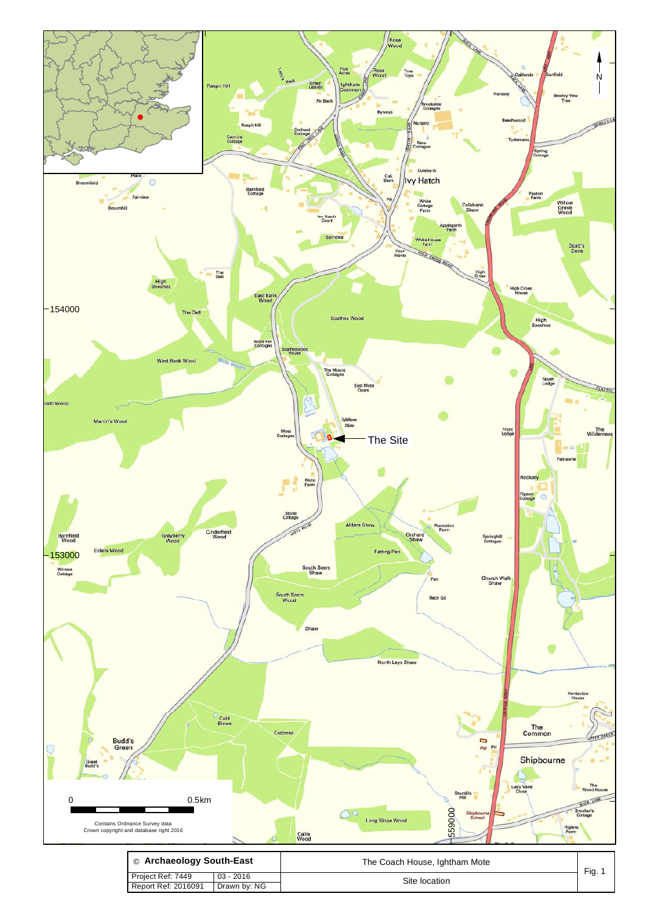

| © Archaeology South-East |              | The Coach House, Ightham Mote |      |
|--------------------------|--------------|-------------------------------|------|
| Project Ref: 7449        | $03 - 2016$  | Site location                 | Fig. |
| Report Ref: 2016091      | Drawn by: NG |                               |      |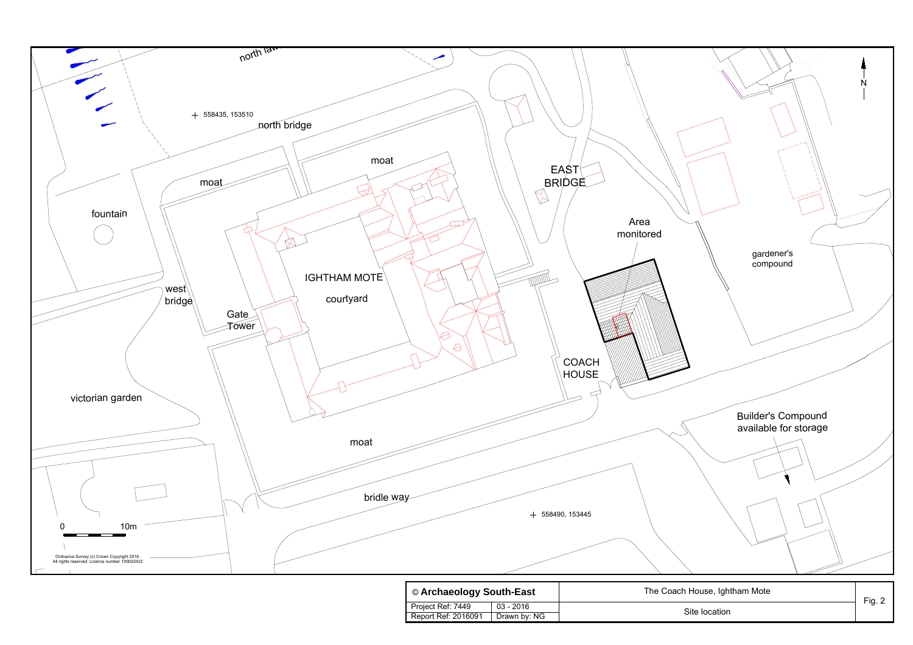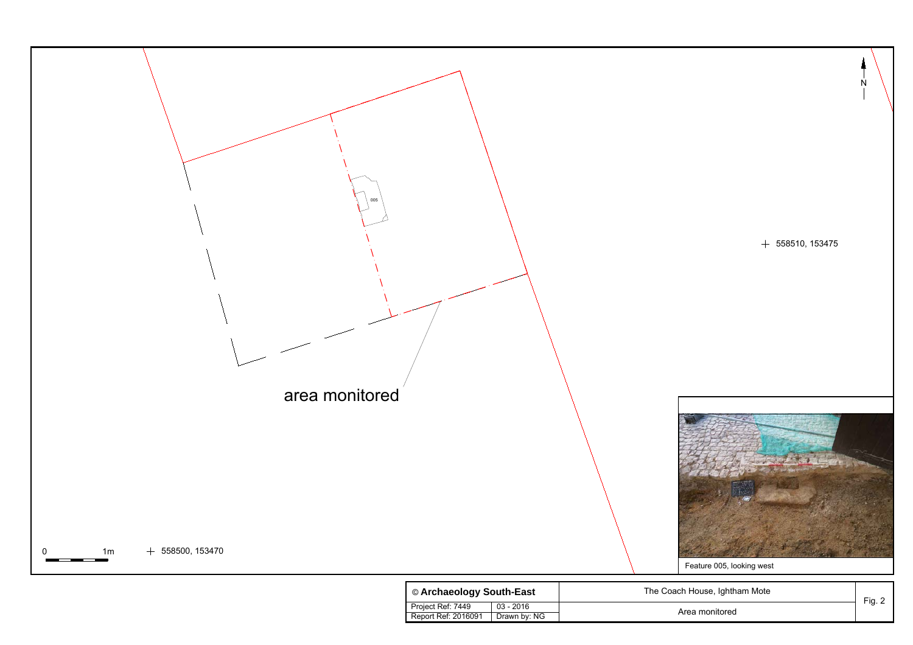

|                                          |                             | Feature 005, looking west     |        |
|------------------------------------------|-----------------------------|-------------------------------|--------|
| © Archaeology South-East                 |                             | The Coach House, Ightham Mote |        |
| Project Ref: 7449<br>Report Ref: 2016091 | $03 - 2016$<br>Drawn by: NG | Area monitored                | Fig. 2 |